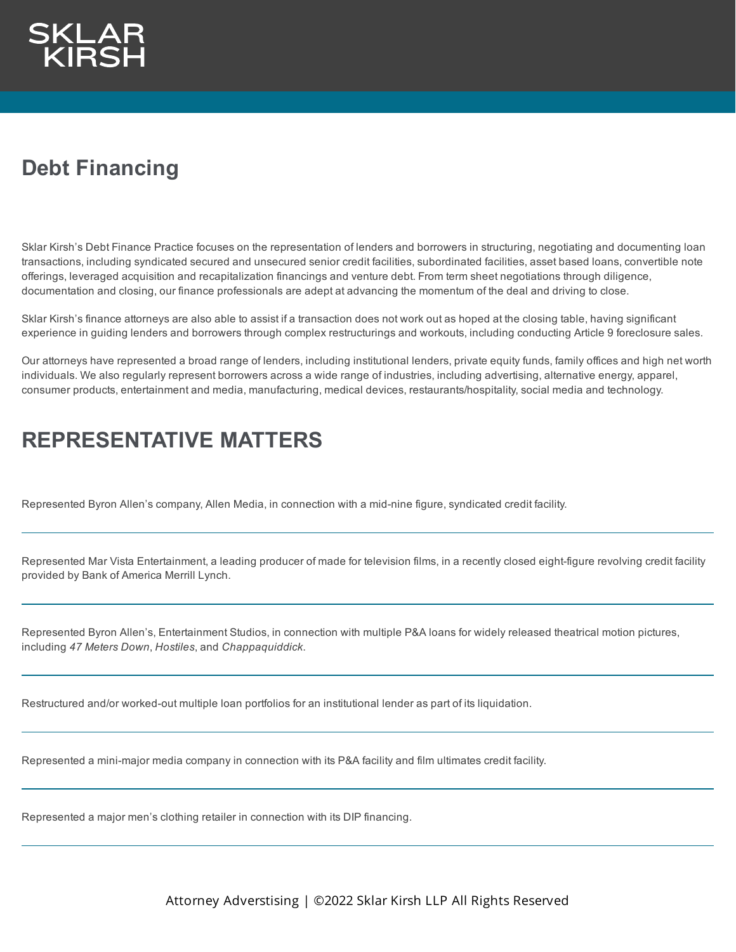## **Debt Financing**

Sklar Kirsh's Debt Finance Practice focuses on the representation of lenders and borrowers in structuring, negotiating and documenting loan transactions, including syndicated secured and unsecured senior credit facilities, subordinated facilities, asset based loans, convertible note offerings, leveraged acquisition and recapitalization financings and venture debt. From term sheet negotiations through diligence, documentation and closing, our finance professionals are adept at advancing the momentum of the deal and driving to close.

Sklar Kirsh's finance attorneys are also able to assist if a transaction does not work out as hoped at the closing table, having significant experience in guiding lenders and borrowers through complex restructurings and workouts, including conducting Article 9 foreclosure sales.

Our attorneys have represented a broad range of lenders, including institutional lenders, private equity funds, family offices and high net worth individuals. We also regularly represent borrowers across a wide range of industries, including advertising, alternative energy, apparel, consumer products, entertainment and media, manufacturing, medical devices, restaurants/hospitality, social media and technology.

## **REPRESENTATIVE MATTERS**

Represented Byron Allen's company, Allen Media, in connection with a mid-nine figure, syndicated credit facility.

Represented Mar Vista Entertainment, a leading producer of made for television films, in a recently closed eight-figure revolving credit facility provided by Bank of America Merrill Lynch.

Represented Byron Allen's, Entertainment Studios, in connection with multiple P&A loans for widely released theatrical motion pictures, including *47 Meters Down*, *Hostiles*, and *Chappaquiddick*.

Restructured and/or worked-out multiple loan portfolios for an institutional lender as part of its liquidation.

Represented a mini-major media company in connection with its P&A facility and film ultimates credit facility.

Represented a major men's clothing retailer in connection with its DIP financing.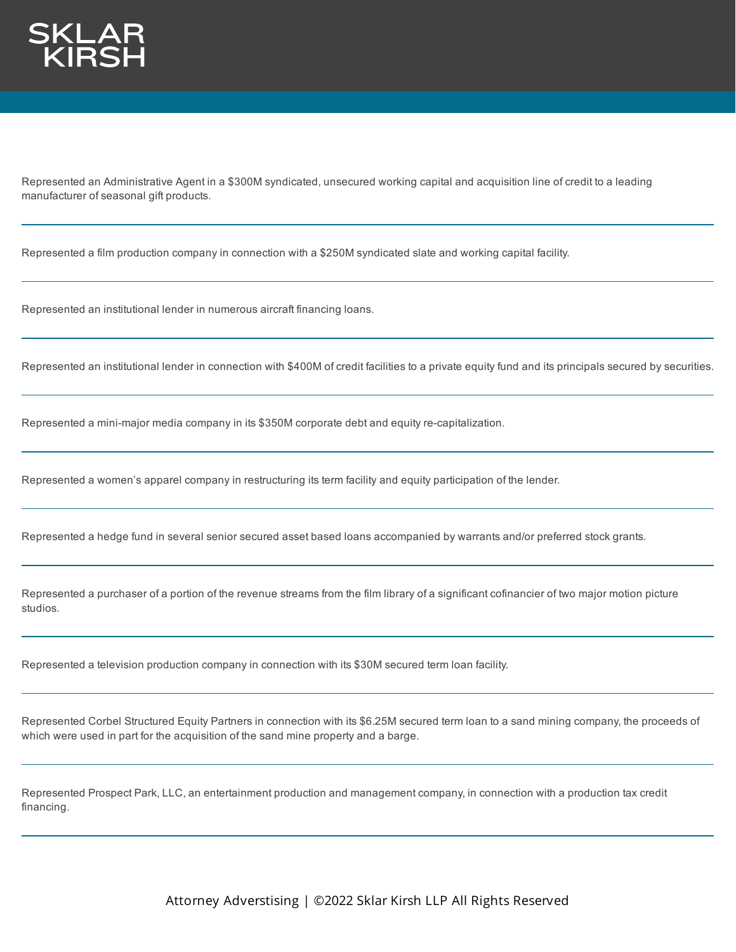

Represented an Administrative Agent in a \$300M syndicated, unsecured working capital and acquisition line of credit to a leading manufacturer of seasonal gift products.

Represented a film production company in connection with a \$250M syndicated slate and working capital facility.

Represented an institutional lender in numerous aircraft financing loans.

Represented an institutional lender in connection with \$400M of credit facilities to a private equity fund and its principals secured by securities.

Represented a mini-major media company in its \$350M corporate debt and equity re-capitalization.

Represented a women's apparel company in restructuring its term facility and equity participation of the lender.

Represented a hedge fund in several senior secured asset based loans accompanied by warrants and/or preferred stock grants.

Represented a purchaser of a portion of the revenue streams from the film library of a significant cofinancier of two major motion picture studios.

Represented a television production company in connection with its \$30M secured term loan facility.

Represented Corbel Structured Equity Partners in connection with its \$6.25M secured term loan to a sand mining company, the proceeds of which were used in part for the acquisition of the sand mine property and a barge.

Represented Prospect Park, LLC, an entertainment production and management company, in connection with a production tax credit financing.